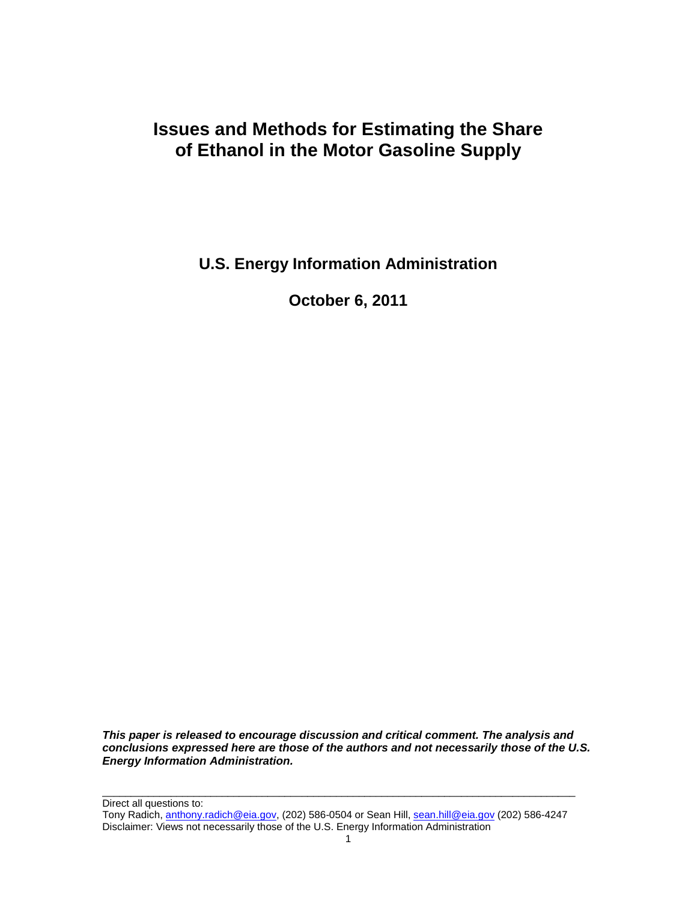# **Issues and Methods for Estimating the Share of Ethanol in the Motor Gasoline Supply**

**U.S. Energy Information Administration**

**October 6, 2011**

*This paper is released to encourage discussion and critical comment. The analysis and conclusions expressed here are those of the authors and not necessarily those of the U.S. Energy Information Administration.*

Direct all questions to: Tony Radich[, anthony.radich@eia.gov,](mailto:anthony.radich@eia.gov) (202) 586-0504 or Sean Hill, [sean.hill@eia.gov](mailto:sean.hill@eia.gov) (202) 586-4247 Disclaimer: Views not necessarily those of the U.S. Energy Information Administration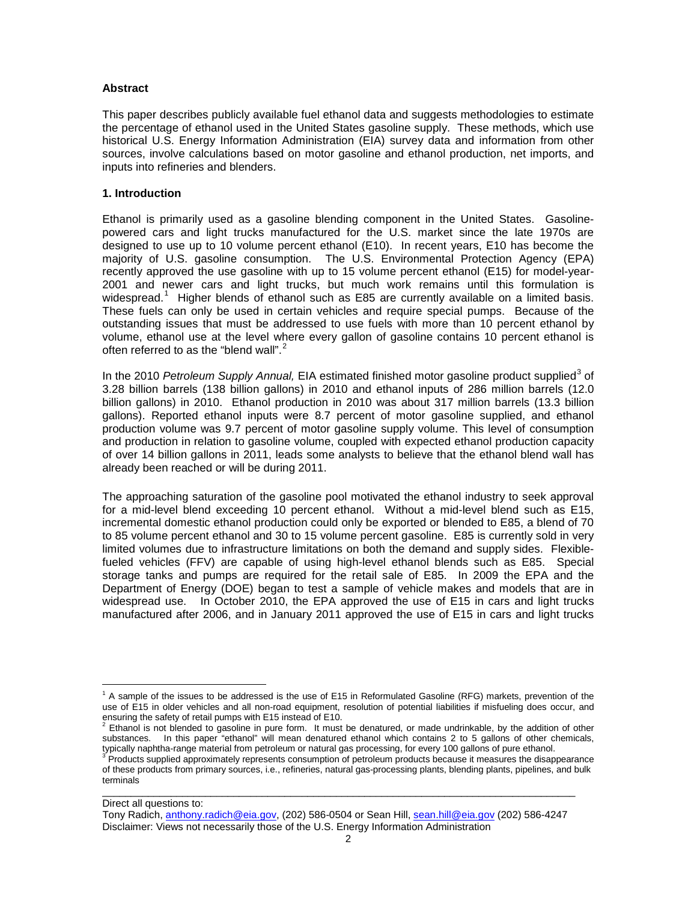#### **Abstract**

This paper describes publicly available fuel ethanol data and suggests methodologies to estimate the percentage of ethanol used in the United States gasoline supply. These methods, which use historical U.S. Energy Information Administration (EIA) survey data and information from other sources, involve calculations based on motor gasoline and ethanol production, net imports, and inputs into refineries and blenders.

#### **1. Introduction**

Ethanol is primarily used as a gasoline blending component in the United States. Gasolinepowered cars and light trucks manufactured for the U.S. market since the late 1970s are designed to use up to 10 volume percent ethanol (E10). In recent years, E10 has become the majority of U.S. gasoline consumption. The U.S. Environmental Protection Agency (EPA) recently approved the use gasoline with up to 15 volume percent ethanol (E15) for model-year-2001 and newer cars and light trucks, but much work remains until this formulation is widespread.<sup>[1](#page-1-0)</sup> Higher blends of ethanol such as E85 are currently available on a limited basis. These fuels can only be used in certain vehicles and require special pumps. Because of the outstanding issues that must be addressed to use fuels with more than 10 percent ethanol by volume, ethanol use at the level where every gallon of gasoline contains 10 percent ethanol is often referred to as the "blend wall".<sup>[2](#page-1-1)</sup>

In the 2010 *Petroleum Supply Annual*, EIA estimated finished motor gasoline product supplied<sup>[3](#page-1-2)</sup> of 3.28 billion barrels (138 billion gallons) in 2010 and ethanol inputs of 286 million barrels (12.0 billion gallons) in 2010. Ethanol production in 2010 was about 317 million barrels (13.3 billion gallons). Reported ethanol inputs were 8.7 percent of motor gasoline supplied, and ethanol production volume was 9.7 percent of motor gasoline supply volume. This level of consumption and production in relation to gasoline volume, coupled with expected ethanol production capacity of over 14 billion gallons in 2011, leads some analysts to believe that the ethanol blend wall has already been reached or will be during 2011.

The approaching saturation of the gasoline pool motivated the ethanol industry to seek approval for a mid-level blend exceeding 10 percent ethanol. Without a mid-level blend such as E15, incremental domestic ethanol production could only be exported or blended to E85, a blend of 70 to 85 volume percent ethanol and 30 to 15 volume percent gasoline. E85 is currently sold in very limited volumes due to infrastructure limitations on both the demand and supply sides. Flexiblefueled vehicles (FFV) are capable of using high-level ethanol blends such as E85. Special storage tanks and pumps are required for the retail sale of E85. In 2009 the EPA and the Department of Energy (DOE) began to test a sample of vehicle makes and models that are in widespread use. In October 2010, the EPA approved the use of E15 in cars and light trucks manufactured after 2006, and in January 2011 approved the use of E15 in cars and light trucks

Direct all questions to:

<span id="page-1-0"></span><sup>&</sup>lt;sup>1</sup> A sample of the issues to be addressed is the use of E15 in Reformulated Gasoline (RFG) markets, prevention of the use of E15 in older vehicles and all non-road equipment, resolution of potential liabilities if misfueling does occur, and<br>ensuring the safety of retail pumps with E15 instead of E10.

<span id="page-1-1"></span> $^2$  Ethanol is not blended to gasoline in pure form. It must be denatured, or made undrinkable, by the addition of other substances. In this paper "ethanol" will mean denatured ethanol which contains 2 to 5 gallons of other chemicals, typically naphtha-range material from petroleum or natural gas processing, for every 100 gallons of pure eth

<span id="page-1-2"></span>Products supplied approximately represents consumption of petroleum products because it measures the disappearance of these products from primary sources, i.e., refineries, natural gas-processing plants, blending plants, pipelines, and bulk terminals

Tony Radich[, anthony.radich@eia.gov,](mailto:anthony.radich@eia.gov) (202) 586-0504 or Sean Hill, [sean.hill@eia.gov](mailto:sean.hill@eia.gov) (202) 586-4247 Disclaimer: Views not necessarily those of the U.S. Energy Information Administration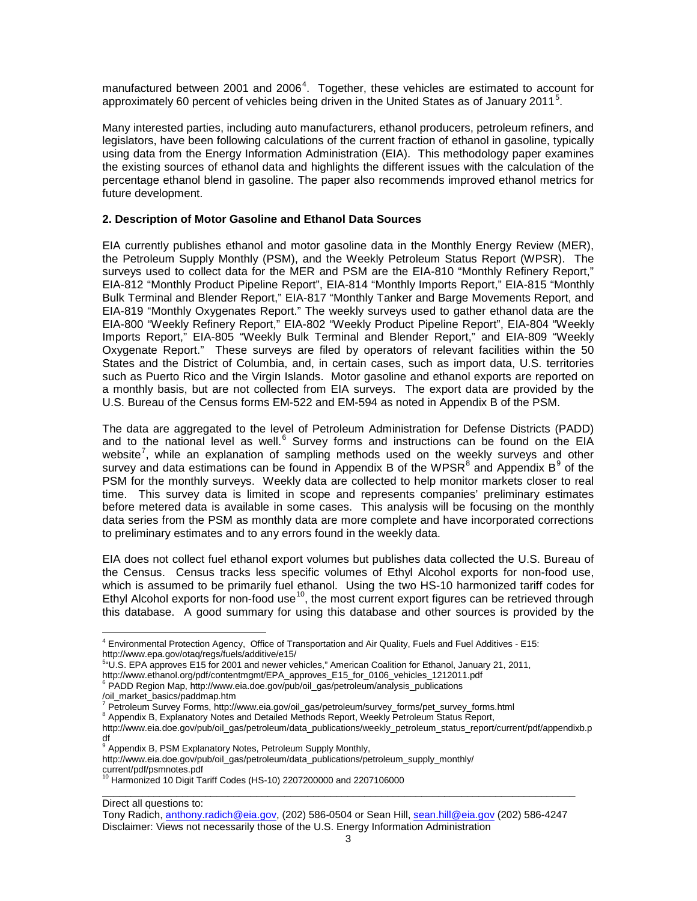manufactured between 2001 and 2006<sup>[4](#page-2-0)</sup>. Together, these vehicles are estimated to account for approximately 60 percent of vehicles being driven in the United States as of January 2011<sup>[5](#page-2-1)</sup>.

Many interested parties, including auto manufacturers, ethanol producers, petroleum refiners, and legislators, have been following calculations of the current fraction of ethanol in gasoline, typically using data from the Energy Information Administration (EIA). This methodology paper examines the existing sources of ethanol data and highlights the different issues with the calculation of the percentage ethanol blend in gasoline. The paper also recommends improved ethanol metrics for future development.

## **2. Description of Motor Gasoline and Ethanol Data Sources**

EIA currently publishes ethanol and motor gasoline data in the Monthly Energy Review (MER), the Petroleum Supply Monthly (PSM), and the Weekly Petroleum Status Report (WPSR). The surveys used to collect data for the MER and PSM are the EIA-810 "Monthly Refinery Report," EIA-812 "Monthly Product Pipeline Report", EIA-814 "Monthly Imports Report," EIA-815 "Monthly Bulk Terminal and Blender Report," EIA-817 "Monthly Tanker and Barge Movements Report, and EIA-819 "Monthly Oxygenates Report." The weekly surveys used to gather ethanol data are the EIA-800 "Weekly Refinery Report," EIA-802 "Weekly Product Pipeline Report", EIA-804 "Weekly Imports Report," EIA-805 "Weekly Bulk Terminal and Blender Report," and EIA-809 "Weekly Oxygenate Report." These surveys are filed by operators of relevant facilities within the 50 States and the District of Columbia, and, in certain cases, such as import data, U.S. territories such as Puerto Rico and the Virgin Islands. Motor gasoline and ethanol exports are reported on a monthly basis, but are not collected from EIA surveys. The export data are provided by the U.S. Bureau of the Census forms EM-522 and EM-594 as noted in Appendix B of the PSM.

The data are aggregated to the level of Petroleum Administration for Defense Districts (PADD) and to the national level as well.<sup>[6](#page-2-2)</sup> Survey forms and instructions can be found on the EIA website<sup>[7](#page-2-3)</sup>, while an explanation of sampling methods used on the weekly surveys and other survey and data estimations can be found in Appendix B of the WPSR $^8$  $^8$  and Appendix B $^9$  $^9$  of the PSM for the monthly surveys. Weekly data are collected to help monitor markets closer to real time. This survey data is limited in scope and represents companies' preliminary estimates before metered data is available in some cases. This analysis will be focusing on the monthly data series from the PSM as monthly data are more complete and have incorporated corrections to preliminary estimates and to any errors found in the weekly data.

EIA does not collect fuel ethanol export volumes but publishes data collected the U.S. Bureau of the Census. Census tracks less specific volumes of Ethyl Alcohol exports for non-food use, which is assumed to be primarily fuel ethanol. Using the two HS-10 harmonized tariff codes for Ethyl Alcohol exports for non-food use<sup>[10](#page-2-6)</sup>, the most current export figures can be retrieved through this database. A good summary for using this database and other sources is provided by the

df<br><sup>9</sup> Appendix B, PSM Explanatory Notes, Petroleum Supply Monthly,

Direct all questions to:

<span id="page-2-0"></span><sup>4</sup> Environmental Protection Agency, Office of Transportation and Air Quality, Fuels and Fuel Additives - E15: http://www.epa.gov/otaq/regs/fuels/additive/e15/

<sup>5</sup> "U.S. EPA approves E15 for 2001 and newer vehicles," American Coalition for Ethanol, January 21, 2011,

<span id="page-2-1"></span>http://www.ethanol.org/pdf/contentmgmt/EPA\_approves\_E15\_for\_0106\_vehicles\_1212011.pdf <sup>6</sup> PADD Region Map, http://www.eia.doe.gov/pub/oil\_gas/petroleum/analysis\_publications

<span id="page-2-2"></span><sup>/</sup>oil\_market\_basics/paddmap.htm

<span id="page-2-3"></span><sup>7&</sup>lt;br><sup>7</sup> Petroleum Survey Forms, http://www.eia.gov/oil\_gas/petroleum/survey\_forms/pet\_survey\_forms.html

<span id="page-2-4"></span><sup>8</sup> Appendix B, Explanatory Notes and Detailed Methods Report, Weekly Petroleum Status Report,

http://www.eia.doe.gov/pub/oil\_gas/petroleum/data\_publications/weekly\_petroleum\_status\_report/current/pdf/appendixb.p

<span id="page-2-5"></span>http://www.eia.doe.gov/pub/oil\_gas/petroleum/data\_publications/petroleum\_supply\_monthly/

<span id="page-2-6"></span>current/pdf/psmnotes.pdf <sup>10</sup> Harmonized 10 Digit Tariff Codes (HS-10) 2207200000 and 2207106000

Tony Radich[, anthony.radich@eia.gov,](mailto:anthony.radich@eia.gov) (202) 586-0504 or Sean Hill, [sean.hill@eia.gov](mailto:sean.hill@eia.gov) (202) 586-4247 Disclaimer: Views not necessarily those of the U.S. Energy Information Administration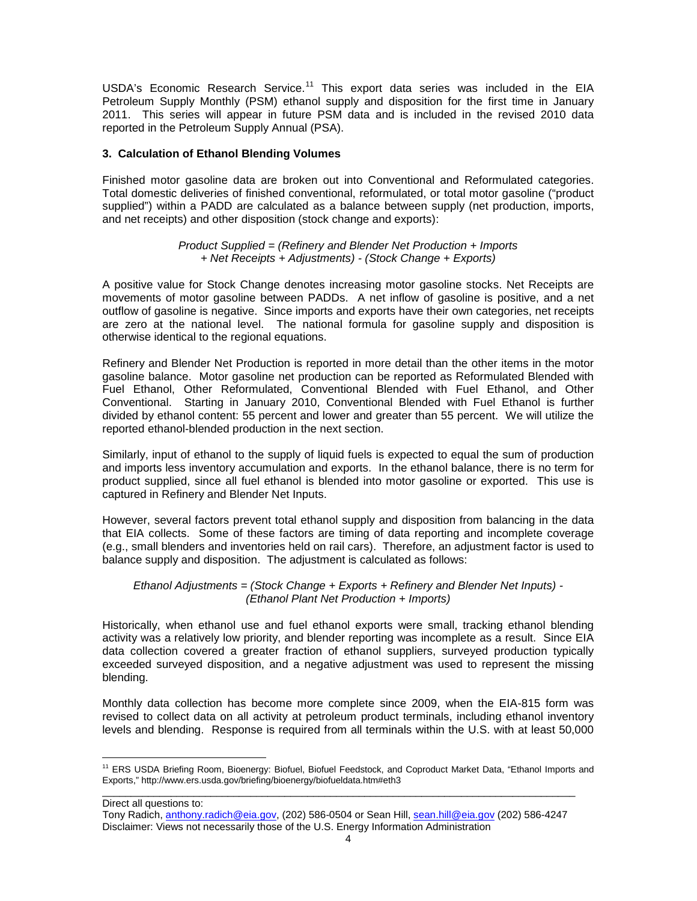USDA's Economic Research Service.<sup>[11](#page-3-0)</sup> This export data series was included in the EIA Petroleum Supply Monthly (PSM) ethanol supply and disposition for the first time in January 2011. This series will appear in future PSM data and is included in the revised 2010 data reported in the Petroleum Supply Annual (PSA).

# **3. Calculation of Ethanol Blending Volumes**

Finished motor gasoline data are broken out into Conventional and Reformulated categories. Total domestic deliveries of finished conventional, reformulated, or total motor gasoline ("product supplied") within a PADD are calculated as a balance between supply (net production, imports, and net receipts) and other disposition (stock change and exports):

## *Product Supplied = (Refinery and Blender Net Production + Imports + Net Receipts + Adjustments) - (Stock Change + Exports)*

A positive value for Stock Change denotes increasing motor gasoline stocks. Net Receipts are movements of motor gasoline between PADDs. A net inflow of gasoline is positive, and a net outflow of gasoline is negative. Since imports and exports have their own categories, net receipts are zero at the national level. The national formula for gasoline supply and disposition is otherwise identical to the regional equations.

Refinery and Blender Net Production is reported in more detail than the other items in the motor gasoline balance. Motor gasoline net production can be reported as Reformulated Blended with Fuel Ethanol, Other Reformulated, Conventional Blended with Fuel Ethanol, and Other Conventional. Starting in January 2010, Conventional Blended with Fuel Ethanol is further divided by ethanol content: 55 percent and lower and greater than 55 percent. We will utilize the reported ethanol-blended production in the next section.

Similarly, input of ethanol to the supply of liquid fuels is expected to equal the sum of production and imports less inventory accumulation and exports. In the ethanol balance, there is no term for product supplied, since all fuel ethanol is blended into motor gasoline or exported. This use is captured in Refinery and Blender Net Inputs.

However, several factors prevent total ethanol supply and disposition from balancing in the data that EIA collects. Some of these factors are timing of data reporting and incomplete coverage (e.g., small blenders and inventories held on rail cars). Therefore, an adjustment factor is used to balance supply and disposition. The adjustment is calculated as follows:

## *Ethanol Adjustments = (Stock Change + Exports + Refinery and Blender Net Inputs) - (Ethanol Plant Net Production + Imports)*

Historically, when ethanol use and fuel ethanol exports were small, tracking ethanol blending activity was a relatively low priority, and blender reporting was incomplete as a result. Since EIA data collection covered a greater fraction of ethanol suppliers, surveyed production typically exceeded surveyed disposition, and a negative adjustment was used to represent the missing blending.

Monthly data collection has become more complete since 2009, when the EIA-815 form was revised to collect data on all activity at petroleum product terminals, including ethanol inventory levels and blending. Response is required from all terminals within the U.S. with at least 50,000

Direct all questions to:

<span id="page-3-0"></span><sup>&</sup>lt;sup>11</sup> ERS USDA Briefing Room, Bioenergy: Biofuel, Biofuel Feedstock, and Coproduct Market Data, "Ethanol Imports and Exports," http://www.ers.usda.gov/briefing/bioenergy/biofueldata.htm#eth3

Tony Radich[, anthony.radich@eia.gov,](mailto:anthony.radich@eia.gov) (202) 586-0504 or Sean Hill, [sean.hill@eia.gov](mailto:sean.hill@eia.gov) (202) 586-4247 Disclaimer: Views not necessarily those of the U.S. Energy Information Administration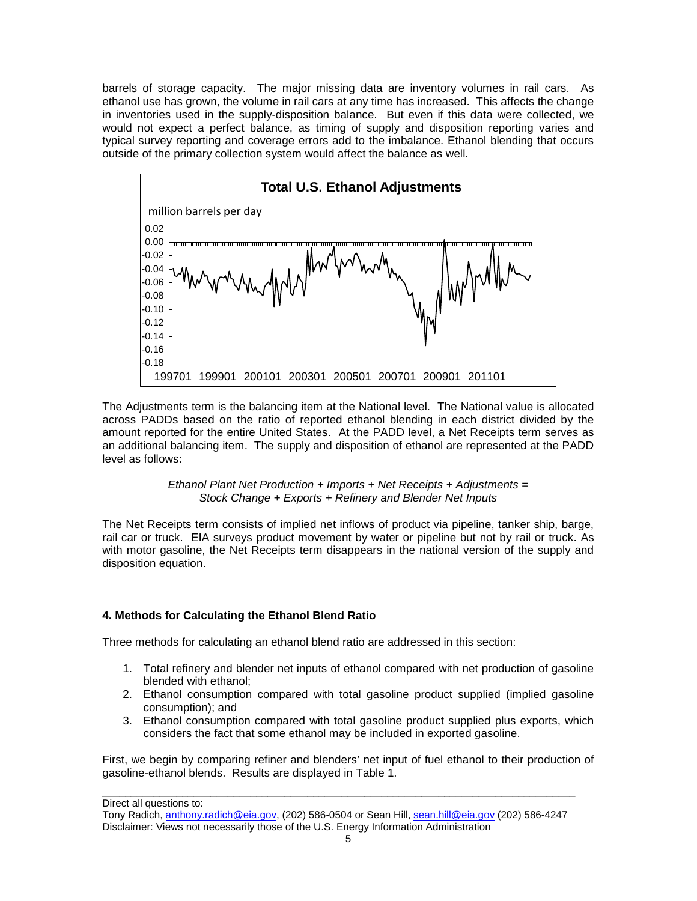barrels of storage capacity. The major missing data are inventory volumes in rail cars. As ethanol use has grown, the volume in rail cars at any time has increased. This affects the change in inventories used in the supply-disposition balance. But even if this data were collected, we would not expect a perfect balance, as timing of supply and disposition reporting varies and typical survey reporting and coverage errors add to the imbalance. Ethanol blending that occurs outside of the primary collection system would affect the balance as well.



The Adjustments term is the balancing item at the National level. The National value is allocated across PADDs based on the ratio of reported ethanol blending in each district divided by the amount reported for the entire United States. At the PADD level, a Net Receipts term serves as an additional balancing item. The supply and disposition of ethanol are represented at the PADD level as follows:

> *Ethanol Plant Net Production + Imports + Net Receipts + Adjustments = Stock Change + Exports + Refinery and Blender Net Inputs*

The Net Receipts term consists of implied net inflows of product via pipeline, tanker ship, barge, rail car or truck. EIA surveys product movement by water or pipeline but not by rail or truck. As with motor gasoline, the Net Receipts term disappears in the national version of the supply and disposition equation.

# **4. Methods for Calculating the Ethanol Blend Ratio**

Three methods for calculating an ethanol blend ratio are addressed in this section:

- 1. Total refinery and blender net inputs of ethanol compared with net production of gasoline blended with ethanol;
- 2. Ethanol consumption compared with total gasoline product supplied (implied gasoline consumption); and
- 3. Ethanol consumption compared with total gasoline product supplied plus exports, which considers the fact that some ethanol may be included in exported gasoline.

First, we begin by comparing refiner and blenders' net input of fuel ethanol to their production of gasoline-ethanol blends. Results are displayed in Table 1.

Direct all questions to:

Tony Radich[, anthony.radich@eia.gov,](mailto:anthony.radich@eia.gov) (202) 586-0504 or Sean Hill, [sean.hill@eia.gov](mailto:sean.hill@eia.gov) (202) 586-4247 Disclaimer: Views not necessarily those of the U.S. Energy Information Administration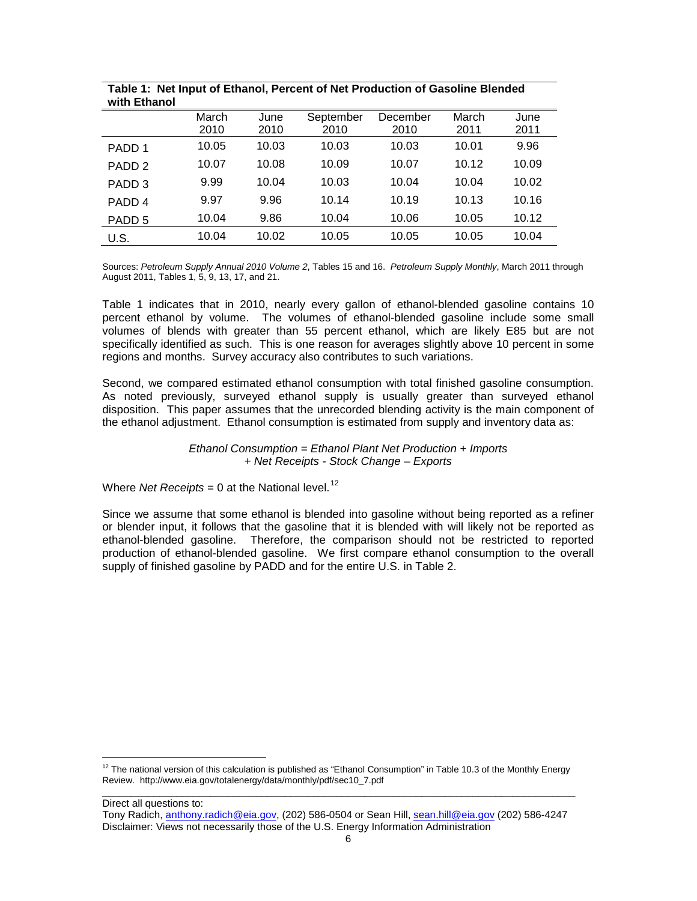| with Ethanol      |       |       |           |          |       |       |
|-------------------|-------|-------|-----------|----------|-------|-------|
|                   | March | June  | September | December | March | June  |
|                   | 2010  | 2010  | 2010      | 2010     | 2011  | 2011  |
| PADD 1            | 10.05 | 10.03 | 10.03     | 10.03    | 10.01 | 9.96  |
| PADD <sub>2</sub> | 10.07 | 10.08 | 10.09     | 10.07    | 10.12 | 10.09 |
| PADD <sub>3</sub> | 9.99  | 10.04 | 10.03     | 10.04    | 10.04 | 10.02 |
| PADD <sub>4</sub> | 9.97  | 9.96  | 10.14     | 10.19    | 10.13 | 10.16 |
| PADD <sub>5</sub> | 10.04 | 9.86  | 10.04     | 10.06    | 10.05 | 10.12 |
| U.S.              | 10.04 | 10.02 | 10.05     | 10.05    | 10.05 | 10.04 |

**Table 1: Net Input of Ethanol, Percent of Net Production of Gasoline Blended with Ethanol**

Sources: *Petroleum Supply Annual 2010 Volume 2*, Tables 15 and 16. *Petroleum Supply Monthly*, March 2011 through August 2011, Tables 1, 5, 9, 13, 17, and 21.

Table 1 indicates that in 2010, nearly every gallon of ethanol-blended gasoline contains 10 percent ethanol by volume. The volumes of ethanol-blended gasoline include some small volumes of blends with greater than 55 percent ethanol, which are likely E85 but are not specifically identified as such. This is one reason for averages slightly above 10 percent in some regions and months. Survey accuracy also contributes to such variations.

Second, we compared estimated ethanol consumption with total finished gasoline consumption. As noted previously, surveyed ethanol supply is usually greater than surveyed ethanol disposition. This paper assumes that the unrecorded blending activity is the main component of the ethanol adjustment. Ethanol consumption is estimated from supply and inventory data as:

#### *Ethanol Consumption = Ethanol Plant Net Production + Imports + Net Receipts - Stock Change – Exports*

Where *Net Receipts* = 0 at the National level.<sup>[12](#page-5-0)</sup>

Since we assume that some ethanol is blended into gasoline without being reported as a refiner or blender input, it follows that the gasoline that it is blended with will likely not be reported as ethanol-blended gasoline. Therefore, the comparison should not be restricted to reported production of ethanol-blended gasoline. We first compare ethanol consumption to the overall supply of finished gasoline by PADD and for the entire U.S. in Table 2.

Direct all questions to:

<span id="page-5-0"></span>\_\_\_\_\_\_\_\_\_\_\_\_\_\_\_\_\_\_\_\_\_\_\_\_\_\_\_\_\_\_\_\_\_\_\_\_\_\_\_\_\_\_\_\_\_\_\_\_\_\_\_\_\_\_\_\_\_\_\_\_\_\_\_\_\_\_\_\_\_\_\_\_\_\_\_\_\_\_\_\_\_\_\_  $12$  The national version of this calculation is published as "Ethanol Consumption" in Table 10.3 of the Monthly Energy Review. http://www.eia.gov/totalenergy/data/monthly/pdf/sec10\_7.pdf

Tony Radich[, anthony.radich@eia.gov,](mailto:anthony.radich@eia.gov) (202) 586-0504 or Sean Hill, [sean.hill@eia.gov](mailto:sean.hill@eia.gov) (202) 586-4247 Disclaimer: Views not necessarily those of the U.S. Energy Information Administration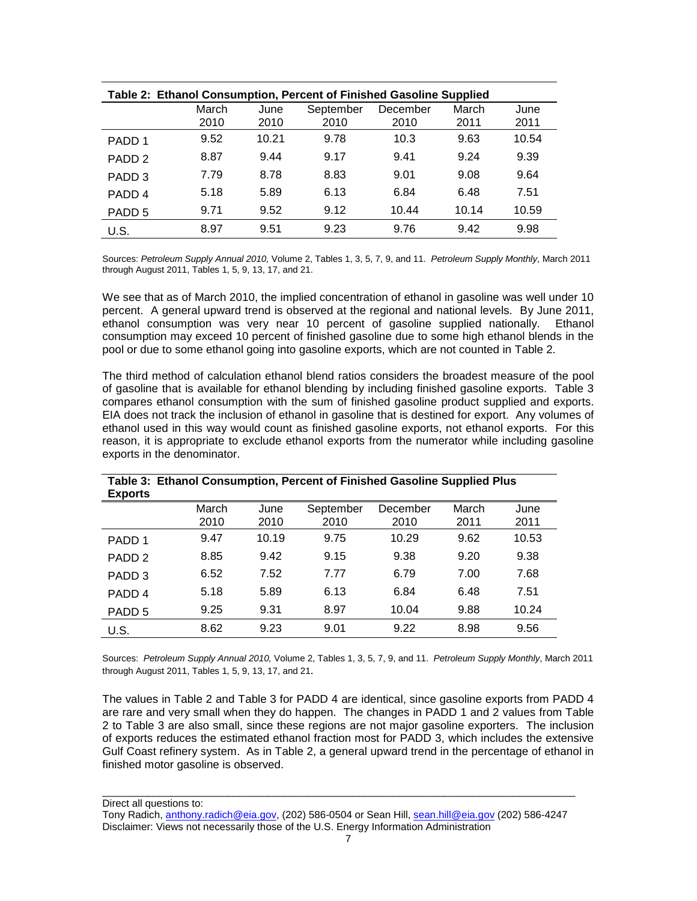| Table 2: Ethanol Consumption, Percent of Finished Gasoline Supplied |       |       |           |          |       |       |
|---------------------------------------------------------------------|-------|-------|-----------|----------|-------|-------|
|                                                                     | March | June  | September | December | March | June  |
|                                                                     | 2010  | 2010  | 2010      | 2010     | 2011  | 2011  |
| PADD 1                                                              | 9.52  | 10.21 | 9.78      | 10.3     | 9.63  | 10.54 |
| PADD <sub>2</sub>                                                   | 8.87  | 9.44  | 9.17      | 9.41     | 9.24  | 9.39  |
| PADD <sub>3</sub>                                                   | 7.79  | 8.78  | 8.83      | 9.01     | 9.08  | 9.64  |
| PADD <sub>4</sub>                                                   | 5.18  | 5.89  | 6.13      | 6.84     | 6.48  | 7.51  |
| PADD <sub>5</sub>                                                   | 9.71  | 9.52  | 9.12      | 10.44    | 10.14 | 10.59 |
| U.S.                                                                | 8.97  | 9.51  | 9.23      | 9.76     | 9.42  | 9.98  |

Sources: *Petroleum Supply Annual 2010,* Volume 2, Tables 1, 3, 5, 7, 9, and 11. *Petroleum Supply Monthly*, March 2011 through August 2011, Tables 1, 5, 9, 13, 17, and 21.

We see that as of March 2010, the implied concentration of ethanol in gasoline was well under 10 percent. A general upward trend is observed at the regional and national levels. By June 2011, ethanol consumption was very near 10 percent of gasoline supplied nationally. Ethanol consumption may exceed 10 percent of finished gasoline due to some high ethanol blends in the pool or due to some ethanol going into gasoline exports, which are not counted in Table 2.

The third method of calculation ethanol blend ratios considers the broadest measure of the pool of gasoline that is available for ethanol blending by including finished gasoline exports. Table 3 compares ethanol consumption with the sum of finished gasoline product supplied and exports. EIA does not track the inclusion of ethanol in gasoline that is destined for export. Any volumes of ethanol used in this way would count as finished gasoline exports, not ethanol exports. For this reason, it is appropriate to exclude ethanol exports from the numerator while including gasoline exports in the denominator.

| rapic J. Ethanol Oonsumption, I credit or I implied Oasomic Oupplied I lus<br><b>Exports</b> |       |       |           |          |       |       |
|----------------------------------------------------------------------------------------------|-------|-------|-----------|----------|-------|-------|
|                                                                                              | March | June  | September | December | March | June  |
|                                                                                              | 2010  | 2010  | 2010      | 2010     | 2011  | 2011  |
| PADD <sub>1</sub>                                                                            | 9.47  | 10.19 | 9.75      | 10.29    | 9.62  | 10.53 |
| PADD <sub>2</sub>                                                                            | 8.85  | 9.42  | 9.15      | 9.38     | 9.20  | 9.38  |
| PADD <sub>3</sub>                                                                            | 6.52  | 7.52  | 7.77      | 6.79     | 7.00  | 7.68  |
| PADD <sub>4</sub>                                                                            | 5.18  | 5.89  | 6.13      | 6.84     | 6.48  | 7.51  |
| PADD <sub>5</sub>                                                                            | 9.25  | 9.31  | 8.97      | 10.04    | 9.88  | 10.24 |
| U.S.                                                                                         | 8.62  | 9.23  | 9.01      | 9.22     | 8.98  | 9.56  |

**Table 3: Ethanol Consumption, Percent of Finished Gasoline Supplied Plus** 

Sources: *Petroleum Supply Annual 2010,* Volume 2, Tables 1, 3, 5, 7, 9, and 11. *Petroleum Supply Monthly*, March 2011 through August 2011, Tables 1, 5, 9, 13, 17, and 21.

The values in Table 2 and Table 3 for PADD 4 are identical, since gasoline exports from PADD 4 are rare and very small when they do happen. The changes in PADD 1 and 2 values from Table 2 to Table 3 are also small, since these regions are not major gasoline exporters. The inclusion of exports reduces the estimated ethanol fraction most for PADD 3, which includes the extensive Gulf Coast refinery system. As in Table 2, a general upward trend in the percentage of ethanol in finished motor gasoline is observed.

Direct all questions to:

Tony Radich[, anthony.radich@eia.gov,](mailto:anthony.radich@eia.gov) (202) 586-0504 or Sean Hill, [sean.hill@eia.gov](mailto:sean.hill@eia.gov) (202) 586-4247 Disclaimer: Views not necessarily those of the U.S. Energy Information Administration